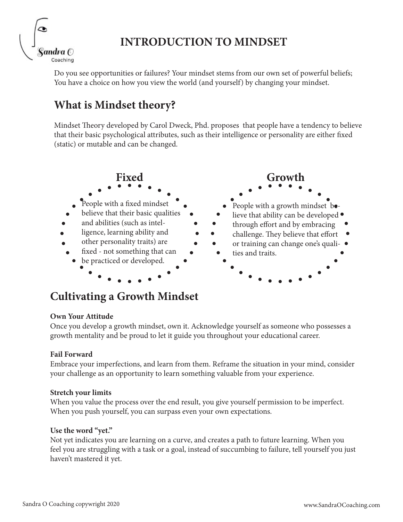

## **INTRODUCTION TO MINDSET**

Do you see opportunities or failures? Your mindset stems from our own set of powerful beliefs; You have a choice on how you view the world (and yourself) by changing your mindset.

## **What is Mindset theory?**

Mindset Theory developed by Carol Dweck, Phd. proposes that people have a tendency to believe that their basic psychological attributes, such as their intelligence or personality are either fixed (static) or mutable and can be changed.



## **Cultivating a Growth Mindset**

#### **Own Your Attitude**

Once you develop a growth mindset, own it. Acknowledge yourself as someone who possesses a growth mentality and be proud to let it guide you throughout your educational career.

#### **Fail Forward**

Embrace your imperfections, and learn from them. Reframe the situation in your mind, consider your challenge as an opportunity to learn something valuable from your experience.

#### **Stretch your limits**

When you value the process over the end result, you give yourself permission to be imperfect. When you push yourself, you can surpass even your own expectations.

#### **Use the word "yet."**

Not yet indicates you are learning on a curve, and creates a path to future learning. When you feel you are struggling with a task or a goal, instead of succumbing to failure, tell yourself you just haven't mastered it yet.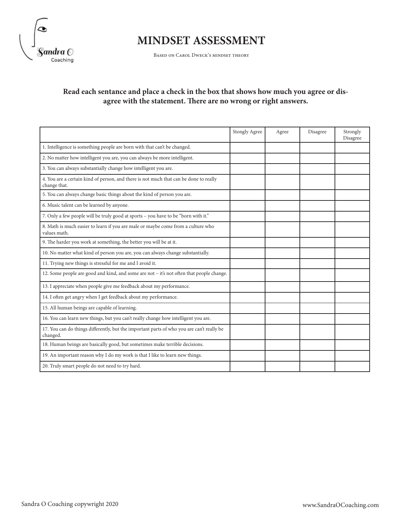

# **MINDSET ASSESSMENT**

Based on Carol Dweck's mindset theory

#### **Read each sentance and place a check in the box that shows how much you agree or disagree with the statement. There are no wrong or right answers.**

|                                                                                                       | Stongly Agree | Agree | Disagree | Strongly<br>Disagree |
|-------------------------------------------------------------------------------------------------------|---------------|-------|----------|----------------------|
| 1. Intelligence is something people are born with that can't be changed.                              |               |       |          |                      |
| 2. No matter how intelligent you are, you can always be more intelligent.                             |               |       |          |                      |
| 3. You can always substantially change how intelligent you are.                                       |               |       |          |                      |
| 4. You are a certain kind of person, and there is not much that can be done to really<br>change that. |               |       |          |                      |
| 5. You can always change basic things about the kind of person you are.                               |               |       |          |                      |
| 6. Music talent can be learned by anyone.                                                             |               |       |          |                      |
| 7. Only a few people will be truly good at sports - you have to be "born with it."                    |               |       |          |                      |
| 8. Math is much easier to learn if you are male or maybe come from a culture who<br>values math.      |               |       |          |                      |
| 9. The harder you work at something, the better you will be at it.                                    |               |       |          |                      |
| 10. No matter what kind of person you are, you can always change substantially.                       |               |       |          |                      |
| 11. Trying new things is stressful for me and I avoid it.                                             |               |       |          |                      |
| 12. Some people are good and kind, and some are not - it's not often that people change.              |               |       |          |                      |
| 13. I appreciate when people give me feedback about my performance.                                   |               |       |          |                      |
| 14. I often get angry when I get feedback about my performance.                                       |               |       |          |                      |
| 15. All human beings are capable of learning.                                                         |               |       |          |                      |
| 16. You can learn new things, but you can't really change how intelligent you are.                    |               |       |          |                      |
| 17. You can do things differently, but the important parts of who you are can't really be<br>changed. |               |       |          |                      |
| 18. Human beings are basically good, but sometimes make terrible decisions.                           |               |       |          |                      |
| 19. An important reason why I do my work is that I like to learn new things.                          |               |       |          |                      |
| 20. Truly smart people do not need to try hard.                                                       |               |       |          |                      |